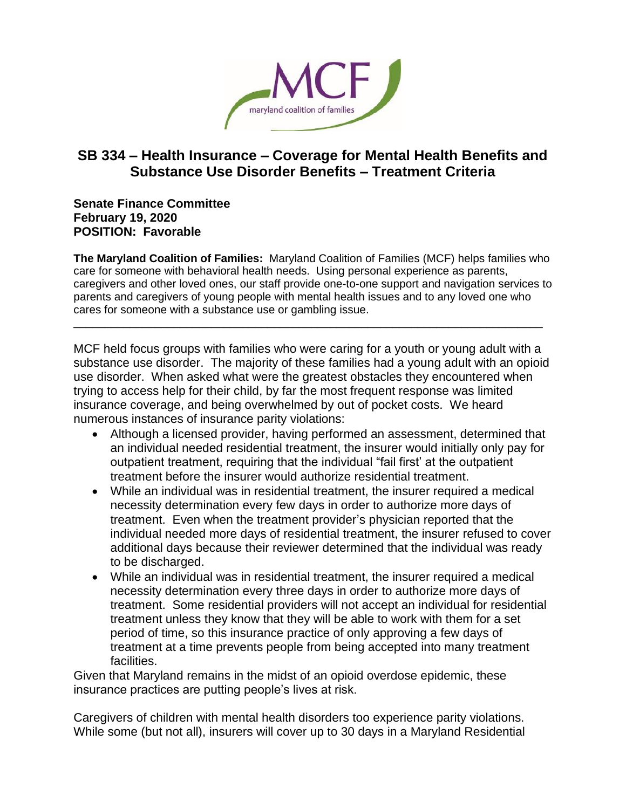

## **SB 334 – Health Insurance – Coverage for Mental Health Benefits and Substance Use Disorder Benefits – Treatment Criteria**

**Senate Finance Committee February 19, 2020 POSITION: Favorable**

**The Maryland Coalition of Families:** Maryland Coalition of Families (MCF) helps families who care for someone with behavioral health needs. Using personal experience as parents, caregivers and other loved ones, our staff provide one-to-one support and navigation services to parents and caregivers of young people with mental health issues and to any loved one who cares for someone with a substance use or gambling issue. \_\_\_\_\_\_\_\_\_\_\_\_\_\_\_\_\_\_\_\_\_\_\_\_\_\_\_\_\_\_\_\_\_\_\_\_\_\_\_\_\_\_\_\_\_\_\_\_\_\_\_\_\_\_\_\_\_\_\_\_\_\_\_\_\_\_\_\_\_\_\_\_\_\_\_

MCF held focus groups with families who were caring for a youth or young adult with a substance use disorder. The majority of these families had a young adult with an opioid use disorder. When asked what were the greatest obstacles they encountered when trying to access help for their child, by far the most frequent response was limited insurance coverage, and being overwhelmed by out of pocket costs. We heard numerous instances of insurance parity violations:

- Although a licensed provider, having performed an assessment, determined that an individual needed residential treatment, the insurer would initially only pay for outpatient treatment, requiring that the individual "fail first' at the outpatient treatment before the insurer would authorize residential treatment.
- While an individual was in residential treatment, the insurer required a medical necessity determination every few days in order to authorize more days of treatment. Even when the treatment provider's physician reported that the individual needed more days of residential treatment, the insurer refused to cover additional days because their reviewer determined that the individual was ready to be discharged.
- While an individual was in residential treatment, the insurer required a medical necessity determination every three days in order to authorize more days of treatment. Some residential providers will not accept an individual for residential treatment unless they know that they will be able to work with them for a set period of time, so this insurance practice of only approving a few days of treatment at a time prevents people from being accepted into many treatment facilities.

Given that Maryland remains in the midst of an opioid overdose epidemic, these insurance practices are putting people's lives at risk.

Caregivers of children with mental health disorders too experience parity violations. While some (but not all), insurers will cover up to 30 days in a Maryland Residential